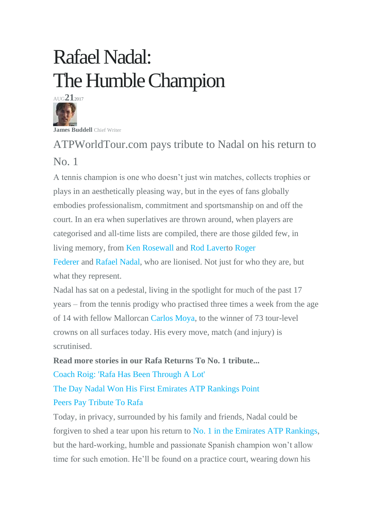## Rafael Nadal: The Humble Champion



ATPWorldTour.com pays tribute to Nadal on his return to No. 1

A tennis champion is one who doesn't just win matches, collects trophies or plays in an aesthetically pleasing way, but in the eyes of fans globally embodies professionalism, commitment and sportsmanship on and off the court. In an era when superlatives are thrown around, when players are categorised and all-time lists are compiled, there are those gilded few, in living memory, from Ken [Rosewall](http://www.atpworldtour.com/en/players/ken-rosewall/r075/overview) and Rod [Lavert](http://www.atpworldtour.com/en/players/rod-laver/l058/overview)o [Roger](http://www.atpworldtour.com/en/players/roger-federer/f324/overview) [Federer](http://www.atpworldtour.com/en/players/roger-federer/f324/overview) and [Rafael](http://www.atpworldtour.com/en/players/rafael-nadal/n409/overview) Nadal, who are lionised. Not just for who they are, but what they represent.

Nadal has sat on a pedestal, living in the spotlight for much of the past 17 years – from the tennis prodigy who practised three times a week from the age of 14 with fellow Mallorcan [Carlos](http://www.atpworldtour.com/en/players/carlos-moya/m605/overview) Moya, to the winner of 73 tour-level crowns on all surfaces today. His every move, match (and injury) is scrutinised.

**Read more stories in our Rafa Returns To No. 1 tribute...** Coach Roig: 'Rafa Has Been [Through](https://www.atpworldtour.com/en/news/nadal-2017-return-to-no-1-roig) A Lot' The Day Nadal Won His First Emirates ATP [Rankings](https://www.atpworldtour.com/en/news/nadal-2017-first-atp-point-sevilla-challenger) Point Peers Pay [Tribute](https://www.atpworldtour.com/en/news/players-reflect-on-rafa-no-1-august-2017) To Rafa

Today, in privacy, surrounded by his family and friends, Nadal could be forgiven to shed a tear upon his return to No. 1 in the Emirates ATP [Rankings,](http://www.atpworldtour.com/en/rankings/singles) but the hard-working, humble and passionate Spanish champion won't allow time for such emotion. He'll be found on a practice court, wearing down his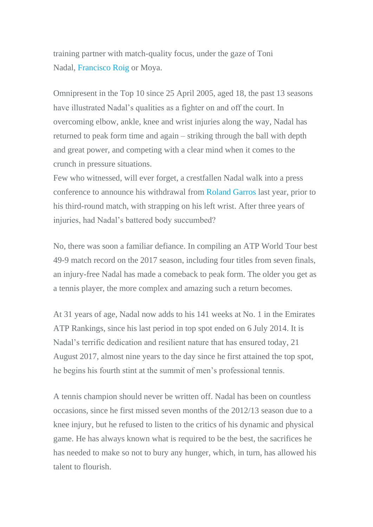training partner with match-quality focus, under the gaze of Toni Nadal, [Francisco](http://www.atpworldtour.com/en/players/francisco-roig/r177/overview) Roig or Moya.

Omnipresent in the Top 10 since 25 April 2005, aged 18, the past 13 seasons have illustrated Nadal's qualities as a fighter on and off the court. In overcoming elbow, ankle, knee and wrist injuries along the way, Nadal has returned to peak form time and again – striking through the ball with depth and great power, and competing with a clear mind when it comes to the crunch in pressure situations.

Few who witnessed, will ever forget, a crestfallen Nadal walk into a press conference to announce his withdrawal from [Roland](http://www.atpworldtour.com/en/tournaments/roland-garros/520/overview) Garros last year, prior to his third-round match, with strapping on his left wrist. After three years of injuries, had Nadal's battered body succumbed?

No, there was soon a familiar defiance. In compiling an ATP World Tour best 49-9 match record on the 2017 season, including four titles from seven finals, an injury-free Nadal has made a comeback to peak form. The older you get as a tennis player, the more complex and amazing such a return becomes.

At 31 years of age, Nadal now adds to his 141 weeks at No. 1 in the Emirates ATP Rankings, since his last period in top spot ended on 6 July 2014. It is Nadal's terrific dedication and resilient nature that has ensured today, 21 August 2017, almost nine years to the day since he first attained the top spot, he begins his fourth stint at the summit of men's professional tennis.

A tennis champion should never be written off. Nadal has been on countless occasions, since he first missed seven months of the 2012/13 season due to a knee injury, but he refused to listen to the critics of his dynamic and physical game. He has always known what is required to be the best, the sacrifices he has needed to make so not to bury any hunger, which, in turn, has allowed his talent to flourish.